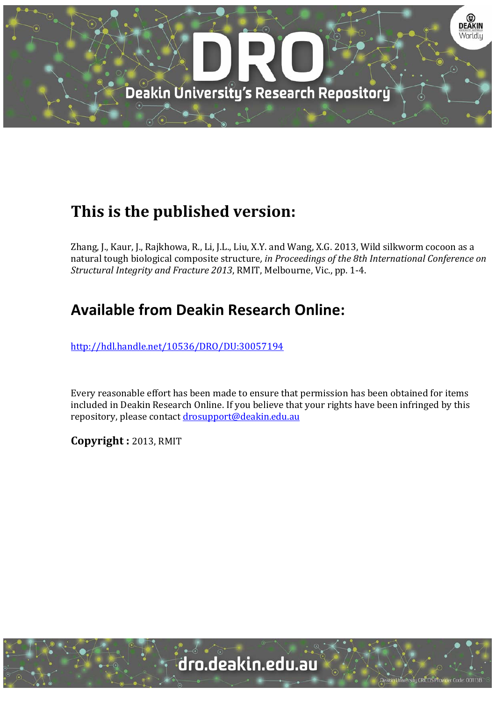

# **This is the published version:**

Zhang, J., Kaur, J., Rajkhowa, R., Li, J.L., Liu, X.Y. and Wang, X.G. 2013, Wild silkworm cocoon as a natural tough biological composite structure*, in Proceedings of the 8th International Conference on Structural Integrity and Fracture 2013*, RMIT, Melbourne, Vic., pp. 1‐4. 

# **Available from Deakin Research Online:**

http://hdl.handle.net/10536/DRO/DU:30057194

Every reasonable effort has been made to ensure that permission has been obtained for items included in Deakin Research Online. If you believe that your rights have been infringed by this repository, please contact drosupport@deakin.edu.au

**Copyright :** 2013, RMIT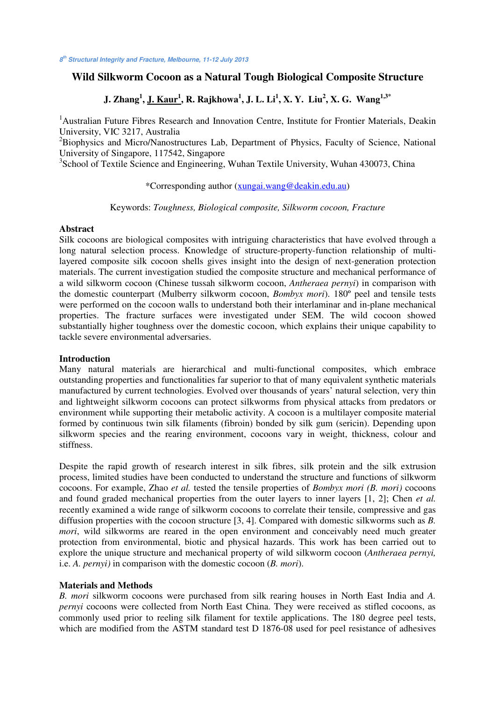# **Wild Silkworm Cocoon as a Natural Tough Biological Composite Structure**

# **J. Zhang<sup>1</sup> , J. Kaur1 , R. Rajkhowa1 , J. L. Li1 , X. Y. Liu<sup>2</sup> , X. G. Wang1,3\***

<sup>1</sup> Australian Future Fibres Research and Innovation Centre, Institute for Frontier Materials, Deakin University, VIC 3217, Australia

<sup>2</sup>Biophysics and Micro/Nanostructures Lab, Department of Physics, Faculty of Science, National University of Singapore, 117542, Singapore

<sup>3</sup>School of Textile Science and Engineering, Wuhan Textile University, Wuhan 430073, China

\*Corresponding author (xungai.wang@deakin.edu.au)

Keywords: *Toughness, Biological composite, Silkworm cocoon, Fracture*

### **Abstract**

Silk cocoons are biological composites with intriguing characteristics that have evolved through a long natural selection process. Knowledge of structure-property-function relationship of multilayered composite silk cocoon shells gives insight into the design of next-generation protection materials. The current investigation studied the composite structure and mechanical performance of a wild silkworm cocoon (Chinese tussah silkworm cocoon, *Antheraea pernyi*) in comparison with the domestic counterpart (Mulberry silkworm cocoon, *Bombyx mori*). 180º peel and tensile tests were performed on the cocoon walls to understand both their interlaminar and in-plane mechanical properties. The fracture surfaces were investigated under SEM. The wild cocoon showed substantially higher toughness over the domestic cocoon, which explains their unique capability to tackle severe environmental adversaries.

### **Introduction**

Many natural materials are hierarchical and multi-functional composites, which embrace outstanding properties and functionalities far superior to that of many equivalent synthetic materials manufactured by current technologies. Evolved over thousands of years' natural selection, very thin and lightweight silkworm cocoons can protect silkworms from physical attacks from predators or environment while supporting their metabolic activity. A cocoon is a multilayer composite material formed by continuous twin silk filaments (fibroin) bonded by silk gum (sericin). Depending upon silkworm species and the rearing environment, cocoons vary in weight, thickness, colour and stiffness.

Despite the rapid growth of research interest in silk fibres, silk protein and the silk extrusion process, limited studies have been conducted to understand the structure and functions of silkworm cocoons. For example, Zhao *et al.* tested the tensile properties of *Bombyx mori (B. mori)* cocoons and found graded mechanical properties from the outer layers to inner layers [1, 2]; Chen *et al.* recently examined a wide range of silkworm cocoons to correlate their tensile, compressive and gas diffusion properties with the cocoon structure [3, 4]. Compared with domestic silkworms such as *B. mori*, wild silkworms are reared in the open environment and conceivably need much greater protection from environmental, biotic and physical hazards. This work has been carried out to explore the unique structure and mechanical property of wild silkworm cocoon (*Antheraea pernyi,*  i.e. *A. pernyi)* in comparison with the domestic cocoon (*B. mori*).

### **Materials and Methods**

*B. mori* silkworm cocoons were purchased from silk rearing houses in North East India and *A. pernyi* cocoons were collected from North East China. They were received as stifled cocoons, as commonly used prior to reeling silk filament for textile applications. The 180 degree peel tests, which are modified from the ASTM standard test D 1876-08 used for peel resistance of adhesives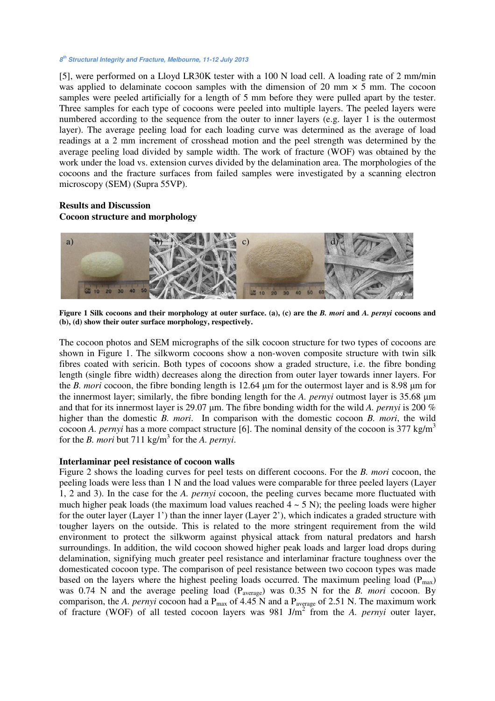# **8th Structural Integrity and Fracture, Melbourne, 11-12 July 2013**

[5], were performed on a Lloyd LR30K tester with a 100 N load cell. A loading rate of 2 mm/min was applied to delaminate cocoon samples with the dimension of 20 mm  $\times$  5 mm. The cocoon samples were peeled artificially for a length of 5 mm before they were pulled apart by the tester. Three samples for each type of cocoons were peeled into multiple layers. The peeled layers were numbered according to the sequence from the outer to inner layers (e.g. layer 1 is the outermost layer). The average peeling load for each loading curve was determined as the average of load readings at a 2 mm increment of crosshead motion and the peel strength was determined by the average peeling load divided by sample width. The work of fracture (WOF) was obtained by the work under the load vs. extension curves divided by the delamination area. The morphologies of the cocoons and the fracture surfaces from failed samples were investigated by a scanning electron microscopy (SEM) (Supra 55VP).

# **Results and Discussion Cocoon structure and morphology**



**Figure 1 Silk cocoons and their morphology at outer surface. (a), (c) are the** *B. mori* **and** *A. pernyi* **cocoons and (b), (d) show their outer surface morphology, respectively.** 

The cocoon photos and SEM micrographs of the silk cocoon structure for two types of cocoons are shown in Figure 1. The silkworm cocoons show a non-woven composite structure with twin silk fibres coated with sericin. Both types of cocoons show a graded structure, i.e. the fibre bonding length (single fibre width) decreases along the direction from outer layer towards inner layers. For the *B. mori* cocoon, the fibre bonding length is 12.64  $\mu$ m for the outermost layer and is 8.98  $\mu$ m for the innermost layer; similarly, the fibre bonding length for the *A. pernyi* outmost layer is 35.68 um and that for its innermost layer is 29.07  $\mu$ m. The fibre bonding width for the wild *A. pernyi* is 200 % higher than the domestic *B. mori*. In comparison with the domestic cocoon *B. mori*, the wild cocoon *A. pernyi* has a more compact structure [6]. The nominal density of the cocoon is 377 kg/m<sup>3</sup> for the *B. mori* but 711 kg/m<sup>3</sup> for the *A. pernyi.* 

## **Interlaminar peel resistance of cocoon walls**

Figure 2 shows the loading curves for peel tests on different cocoons. For the *B. mori* cocoon, the peeling loads were less than 1 N and the load values were comparable for three peeled layers (Layer 1, 2 and 3). In the case for the *A. pernyi* cocoon, the peeling curves became more fluctuated with much higher peak loads (the maximum load values reached  $4 \sim 5$  N); the peeling loads were higher for the outer layer (Layer 1') than the inner layer (Layer 2'), which indicates a graded structure with tougher layers on the outside. This is related to the more stringent requirement from the wild environment to protect the silkworm against physical attack from natural predators and harsh surroundings. In addition, the wild cocoon showed higher peak loads and larger load drops during delamination, signifying much greater peel resistance and interlaminar fracture toughness over the domesticated cocoon type. The comparison of peel resistance between two cocoon types was made based on the layers where the highest peeling loads occurred. The maximum peeling load ( $P_{max}$ ) was 0.74 N and the average peeling load (P<sub>average</sub>) was 0.35 N for the *B. mori* cocoon. By comparison, the *A. pernyi* cocoon had a  $P_{max}$  of 4.45 N and a  $P_{average}$  of 2.51 N. The maximum work of fracture (WOF) of all tested cocoon layers was 981 J/m<sup>2</sup> from the *A. pernyi* outer layer,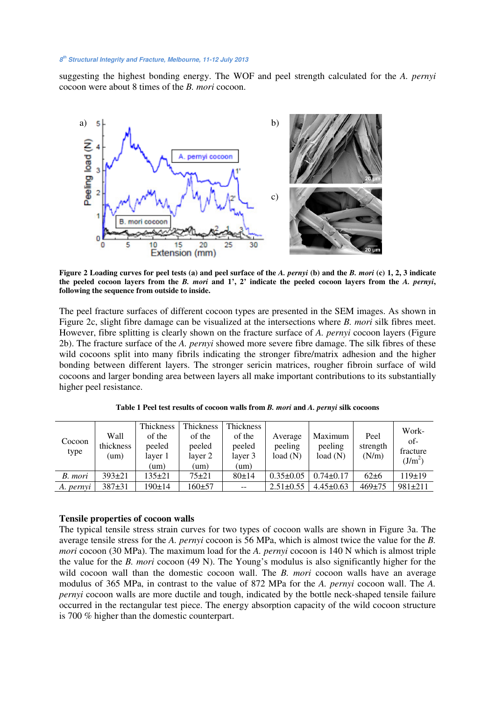# **8th Structural Integrity and Fracture, Melbourne, 11-12 July 2013**

suggesting the highest bonding energy. The WOF and peel strength calculated for the *A. pernyi* cocoon were about 8 times of the *B. mori* cocoon.



**Figure 2 Loading curves for peel tests (a) and peel surface of the** *A. pernyi* **(b) and the** *B. mori* **(c) 1, 2, 3 indicate the peeled cocoon layers from the** *B. mori* **and 1', 2' indicate the peeled cocoon layers from the** *A. pernyi***, following the sequence from outside to inside.** 

The peel fracture surfaces of different cocoon types are presented in the SEM images. As shown in Figure 2c, slight fibre damage can be visualized at the intersections where *B. mori* silk fibres meet. However, fibre splitting is clearly shown on the fracture surface of *A. pernyi* cocoon layers (Figure 2b). The fracture surface of the *A. pernyi* showed more severe fibre damage. The silk fibres of these wild cocoons split into many fibrils indicating the stronger fibre/matrix adhesion and the higher bonding between different layers. The stronger sericin matrices, rougher fibroin surface of wild cocoons and larger bonding area between layers all make important contributions to its substantially higher peel resistance.

| Cocoon<br>type | Wall<br>thickness<br>(um | Thickness<br>of the<br>peeled<br>layer 1<br>(um) | Thickness<br>of the<br>peeled<br>layer 2<br>(um) | <b>Thickness</b><br>of the<br>peeled<br>layer 3<br>(um) | Average<br>peeling<br>load(N) | Maximum<br>peeling<br>load(N) | Peel<br>strength<br>(N/m) | Work-<br>of-<br>fracture<br>$(J/m^2)$ |
|----------------|--------------------------|--------------------------------------------------|--------------------------------------------------|---------------------------------------------------------|-------------------------------|-------------------------------|---------------------------|---------------------------------------|
| B. mori        | $393 \pm 21$             | $135+21$                                         | $75 + 21$                                        | 80±14                                                   | $0.35 \pm 0.05$               | $0.74\pm 0.17$                | $62 \pm 6$                | 119±19                                |
| A. pernyi      | $387+31$                 | 190±14                                           | $160 + 57$                                       | $- -$                                                   | $2.51 \pm 0.55$               | $4.45 \pm 0.63$               | $469 \pm 75$              | $981 \pm 211$                         |

**Table 1 Peel test results of cocoon walls from** *B. mori* **and** *A. pernyi* **silk cocoons** 

#### **Tensile properties of cocoon walls**

The typical tensile stress strain curves for two types of cocoon walls are shown in Figure 3a. The average tensile stress for the *A. pernyi* cocoon is 56 MPa, which is almost twice the value for the *B. mori* cocoon (30 MPa). The maximum load for the *A. pernyi* cocoon is 140 N which is almost triple the value for the *B. mori* cocoon (49 N). The Young's modulus is also significantly higher for the wild cocoon wall than the domestic cocoon wall. The *B. mori* cocoon walls have an average modulus of 365 MPa, in contrast to the value of 872 MPa for the *A. pernyi* cocoon wall. The *A. pernyi* cocoon walls are more ductile and tough, indicated by the bottle neck-shaped tensile failure occurred in the rectangular test piece. The energy absorption capacity of the wild cocoon structure is 700 % higher than the domestic counterpart.